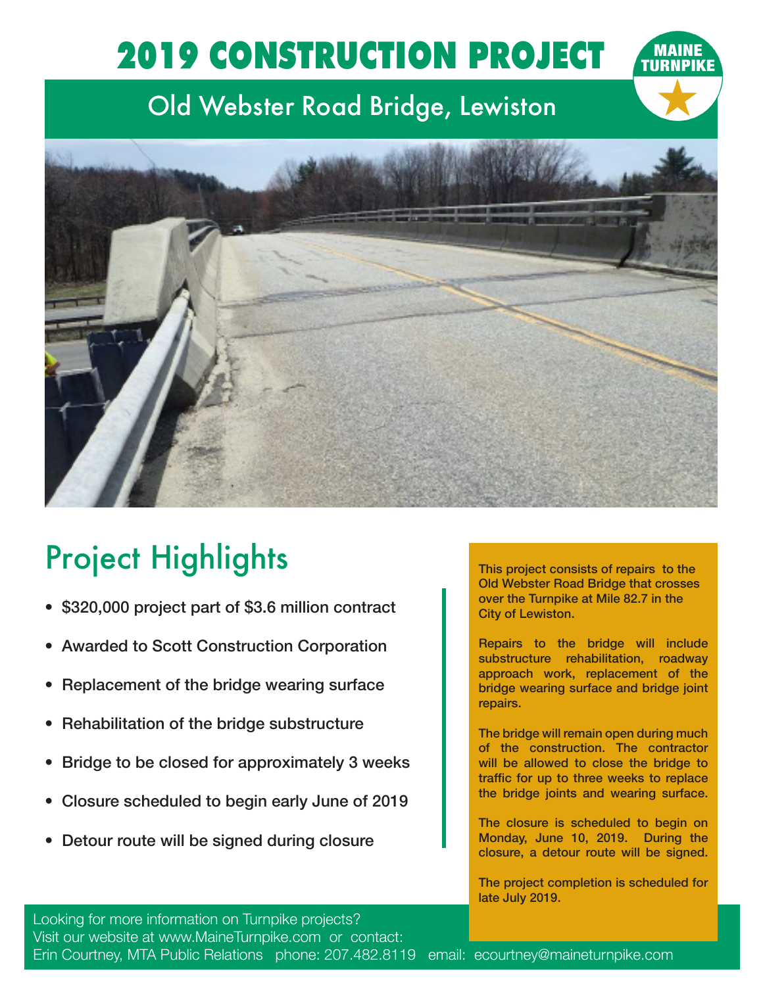## 2019 CONSTRUCTION PROJECT

## Old Webster Road Bridge, Lewiston



## Project Highlights

- \$320,000 project part of \$3.6 million contract
- Awarded to Scott Construction Corporation
- Replacement of the bridge wearing surface
- Rehabilitation of the bridge substructure
- Bridge to be closed for approximately 3 weeks
- Closure scheduled to begin early June of 2019
- Detour route will be signed during closure

This project consists of repairs to the Old Webster Road Bridge that crosses over the Turnpike at Mile 82.7 in the City of Lewiston.

Repairs to the bridge will include substructure rehabilitation, roadway approach work, replacement of the bridge wearing surface and bridge joint repairs.

The bridge will remain open during much of the construction. The contractor will be allowed to close the bridge to traffic for up to three weeks to replace the bridge joints and wearing surface.

The closure is scheduled to begin on Monday, June 10, 2019. During the closure, a detour route will be signed.

The project completion is scheduled for late July 2019.

Looking for more information on Turnpike projects? Visit our website at www.MaineTurnpike.com or contact: Erin Courtney, MTA Public Relations phone: 207.482.8119 email: ecourtney@maineturnpike.com